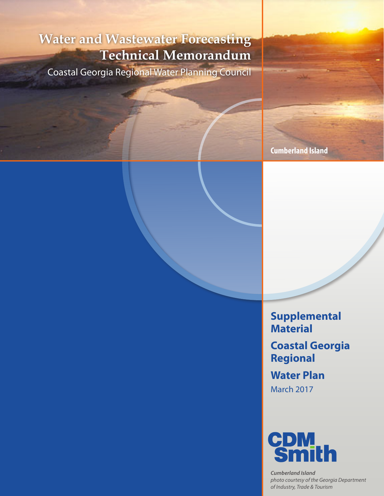# **Water and Wastewater Forecasting Technical Memorandum**

Coastal Georgia Regional Water Planning Council

**Cumberland Island**

**Supplemental Material Coastal Georgia Regional Water Plan** March 2017



*Cumberland Island photo courtesy of the Georgia Department of Industry, Trade & Tourism*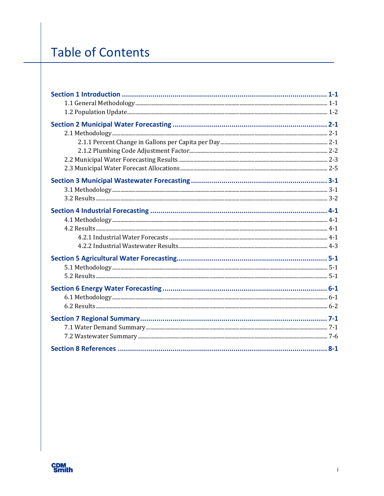# **Table of Contents**

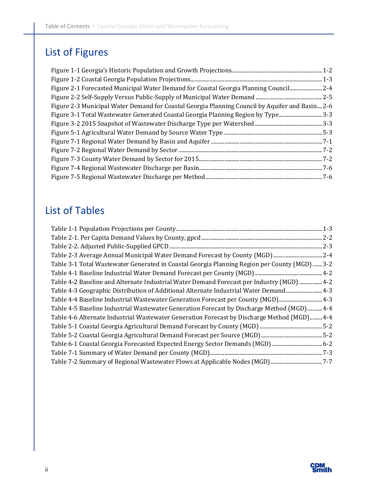## List of Figures

| Figure 2-1 Forecasted Municipal Water Demand for Coastal Georgia Planning Council 2-4           |  |
|-------------------------------------------------------------------------------------------------|--|
|                                                                                                 |  |
| Figure 2-3 Municipal Water Demand for Coastal Georgia Planning Council by Aquifer and Basin 2-6 |  |
| Figure 3-1 Total Wastewater Generated Coastal Georgia Planning Region by Type3-3                |  |
|                                                                                                 |  |
|                                                                                                 |  |
|                                                                                                 |  |
|                                                                                                 |  |
|                                                                                                 |  |
|                                                                                                 |  |
|                                                                                                 |  |

## List of Tables

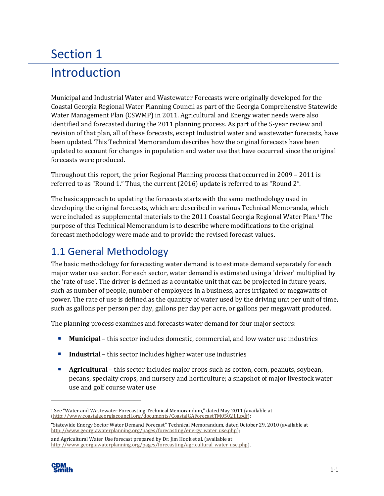# Section 1 Introduction

Municipal and Industrial Water and Wastewater Forecasts were originally developed for the Coastal Georgia Regional Water Planning Council as part of the Georgia Comprehensive Statewide Water Management Plan (CSWMP) in 2011. Agricultural and Energy water needs were also identified and forecasted during the 2011 planning process. As part of the 5-year review and revision of that plan, all of these forecasts, except Industrial water and wastewater forecasts, have been updated. This Technical Memorandum describes how the original forecasts have been updated to account for changes in population and water use that have occurred since the original forecasts were produced.

Throughout this report, the prior Regional Planning process that occurred in 2009 – 2011 is referred to as "Round 1." Thus, the current (2016) update is referred to as "Round 2".

The basic approach to updating the forecasts starts with the same methodology used in developing the original forecasts, which are described in various Technical Memoranda, which were included as supplemental materials to the 2011 Coastal Georgia Regional Water Plan.1 The purpose of this Technical Memorandum is to describe where modifications to the original forecast methodology were made and to provide the revised forecast values.

### 1.1 General Methodology

The basic methodology for forecasting water demand is to estimate demand separately for each major water use sector. For each sector, water demand is estimated using a 'driver' multiplied by the 'rate of use'. The driver is defined as a countable unit that can be projected in future years, such as number of people, number of employees in a business, acres irrigated or megawatts of power. The rate of use is defined as the quantity of water used by the driving unit per unit of time, such as gallons per person per day, gallons per day per acre, or gallons per megawatt produced.

The planning process examines and forecasts water demand for four major sectors:

- **Municipal** this sector includes domestic, commercial, and low water use industries
- **Industrial** this sector includes higher water use industries
- **Agricultural** this sector includes major crops such as cotton, corn, peanuts, soybean, pecans, specialty crops, and nursery and horticulture; a snapshot of major livestock water use and golf course water use

and Agricultural Water Use forecast prepared by Dr. Jim Hook et al. (available at [http://www.georgiawaterplanning.org/pages/forecasting/agricultural\\_water\\_use.php](http://www.georgiawaterplanning.org/pages/forecasting/agricultural_water_use.php)).



1

<sup>1</sup> See "Water and Wastewater Forecasting Technical Memorandum," dated May 2011 (available at (<http://www.coastalgeorgiacouncil.org/documents/CoastalGAForecastTM050211.pdf>);

<sup>&</sup>quot;Statewide Energy Sector Water Demand Forecast" Technical Memorandum, dated October 29, 2010 (available at [http://www.georgiawaterplanning.org/pages/forecasting/energy\\_water\\_use.php\)](http://www.georgiawaterplanning.org/pages/forecasting/energy_water_use.php);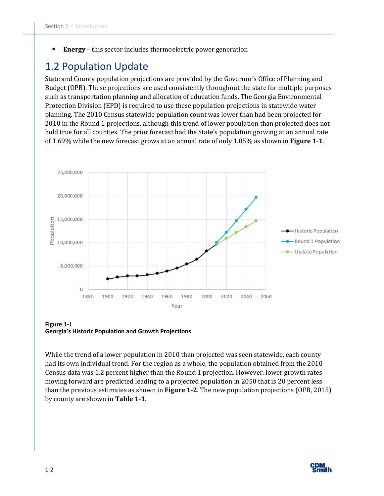**Energy** – this sector includes thermoelectric power generation

### 1.2 Population Update

State and County population projections are provided by the Governor's Office of Planning and Budget (OPB). These projections are used consistently throughout the state for multiple purposes such as transportation planning and allocation of education funds. The Georgia Environmental Protection Division (EPD) is required to use these population projections in statewide water planning. The 2010 Census statewide population count was lower than had been projected for 2010 in the Round 1 projections, although this trend of lower population than projected does not hold true for all counties. The prior forecast had the State's population growing at an annual rate of 1.69% while the new forecast grows at an annual rate of only 1.05% as shown in **Figure 1-1**.



**Figure 1-1 Georgia's Historic Population and Growth Projections** 

While the trend of a lower population in 2010 than projected was seen statewide, each county had its own individual trend. For the region as a whole, the population obtained from the 2010 Census data was 1.2 percent higher than the Round 1 projection. However, lower growth rates moving forward are predicted leading to a projected population in 2050 that is 20 percent less than the previous estimates as shown in **Figure 1-2**. The new population projections (OPB, 2015) by county are shown in **Table 1-1**.

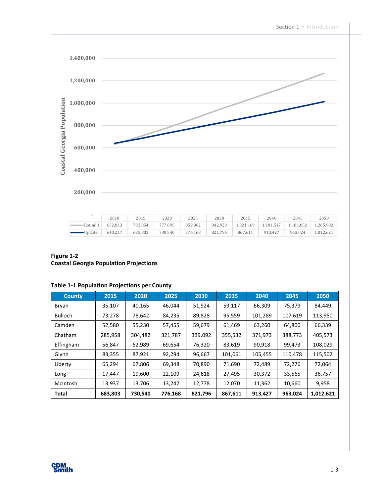

|                       | 2010    | 2015    | 2020    | 2025    | 2030    | 2035      | 2040      | 2045      | 2050      |
|-----------------------|---------|---------|---------|---------|---------|-----------|-----------|-----------|-----------|
| Round 1               | 632.813 | 703.854 | 777,695 | 859,962 | 942.920 | 1,021,169 | 1.101.517 | 1,181,052 | 1,265,982 |
| $\blacksquare$ Update | 640.217 | 683.803 | 730,540 | 776.168 | 821.796 | 867.611   | 913.427   | 963.024   | 1.012.621 |

#### **Figure 1-2 Coastal Georgia Population Projections**

| <b>County</b>  | 2015    | 2020    | 2025    | 2030    | 2035    | 2040    | 2045    | 2050      |
|----------------|---------|---------|---------|---------|---------|---------|---------|-----------|
| Bryan          | 35,107  | 40,165  | 46,044  | 51,924  | 59,117  | 66,309  | 75,379  | 84,449    |
| <b>Bulloch</b> | 73,278  | 78,642  | 84,235  | 89,828  | 95,559  | 101,289 | 107,619 | 113,950   |
| Camden         | 52,580  | 55,230  | 57,455  | 59,679  | 61,469  | 63,260  | 64,800  | 66,339    |
| Chatham        | 285,958 | 304,482 | 321,787 | 339,092 | 355,532 | 371,973 | 388,773 | 405,573   |
| Effingham      | 56,847  | 62,989  | 69,654  | 76,320  | 83,619  | 90,918  | 99,473  | 108,029   |
| Glynn          | 83,355  | 87,921  | 92,294  | 96,667  | 101,061 | 105,455 | 110,478 | 115,502   |
| Liberty        | 65,294  | 67,806  | 69,348  | 70,890  | 71,690  | 72,489  | 72,276  | 72,064    |
| Long           | 17,447  | 19,600  | 22,109  | 24,618  | 27,495  | 30,372  | 33,565  | 36,757    |
| McIntosh       | 13,937  | 13,706  | 13,242  | 12,778  | 12,070  | 11,362  | 10,660  | 9,958     |
| <b>Total</b>   | 683,803 | 730,540 | 776,168 | 821,796 | 867,611 | 913,427 | 963,024 | 1,012,621 |

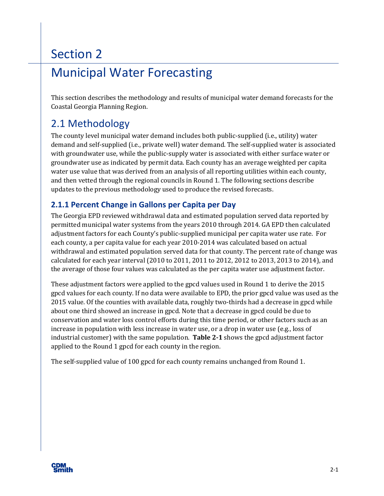## Municipal Water Forecasting

This section describes the methodology and results of municipal water demand forecasts for the Coastal Georgia Planning Region.

### 2.1 Methodology

The county level municipal water demand includes both public-supplied (i.e., utility) water demand and self-supplied (i.e., private well) water demand. The self-supplied water is associated with groundwater use, while the public-supply water is associated with either surface water or groundwater use as indicated by permit data. Each county has an average weighted per capita water use value that was derived from an analysis of all reporting utilities within each county, and then vetted through the regional councils in Round 1. The following sections describe updates to the previous methodology used to produce the revised forecasts.

### **2.1.1 Percent Change in Gallons per Capita per Day**

The Georgia EPD reviewed withdrawal data and estimated population served data reported by permitted municipal water systems from the years 2010 through 2014. GA EPD then calculated adjustment factors for each County's public-supplied municipal per capita water use rate. For each county, a per capita value for each year 2010-2014 was calculated based on actual withdrawal and estimated population served data for that county. The percent rate of change was calculated for each year interval (2010 to 2011, 2011 to 2012, 2012 to 2013, 2013 to 2014), and the average of those four values was calculated as the per capita water use adjustment factor.

These adjustment factors were applied to the gpcd values used in Round 1 to derive the 2015 gpcd values for each county. If no data were available to EPD, the prior gpcd value was used as the 2015 value. Of the counties with available data, roughly two-thirds had a decrease in gpcd while about one third showed an increase in gpcd. Note that a decrease in gpcd could be due to conservation and water loss control efforts during this time period, or other factors such as an increase in population with less increase in water use, or a drop in water use (e.g., loss of industrial customer) with the same population. **Table 2-1** shows the gpcd adjustment factor applied to the Round 1 gpcd for each county in the region.

The self-supplied value of 100 gpcd for each county remains unchanged from Round 1.

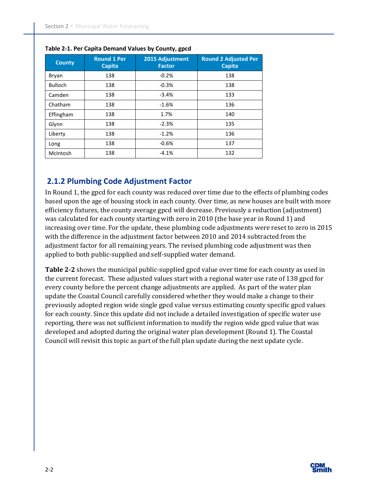| <b>County</b>  | <b>Round 1 Per</b><br><b>Capita</b> | 2015 Adjustment<br><b>Factor</b> | <b>Round 2 Adjusted Per</b><br><b>Capita</b> |  |  |
|----------------|-------------------------------------|----------------------------------|----------------------------------------------|--|--|
| Bryan          | 138                                 | $-0.2%$                          | 138                                          |  |  |
| <b>Bulloch</b> | 138                                 | $-0.3%$                          | 138                                          |  |  |
| Camden         | 138                                 | $-3.4%$                          | 133                                          |  |  |
| Chatham        | 138                                 | $-1.6%$                          | 136                                          |  |  |
| Effingham      | 138                                 | 1.7%                             | 140                                          |  |  |
| Glynn          | 138                                 | $-2.3%$                          | 135                                          |  |  |
| Liberty        | 138                                 | $-1.2%$                          | 136                                          |  |  |
| Long           | 138                                 | $-0.6%$                          | 137                                          |  |  |
| McIntosh       | 138                                 | $-4.1%$                          | 132                                          |  |  |

#### **Table 2-1. Per Capita Demand Values by County, gpcd**

#### **2.1.2 Plumbing Code Adjustment Factor**

In Round 1, the gpcd for each county was reduced over time due to the effects of plumbing codes based upon the age of housing stock in each county. Over time, as new houses are built with more efficiency fixtures, the county average gpcd will decrease. Previously a reduction (adjustment) was calculated for each county starting with zero in 2010 (the base year in Round 1) and increasing over time. For the update, these plumbing code adjustments were reset to zero in 2015 with the difference in the adjustment factor between 2010 and 2014 subtracted from the adjustment factor for all remaining years. The revised plumbing code adjustment was then applied to both public-supplied and self-supplied water demand.

**Table 2-2** shows the municipal public-supplied gpcd value over time for each county as used in the current forecast. These adjusted values start with a regional water use rate of 138 gpcd for every county before the percent change adjustments are applied. As part of the water plan update the Coastal Council carefully considered whether they would make a change to their previously adopted region wide single gpcd value versus estimating county specific gpcd values for each county. Since this update did not include a detailed investigation of specific water use reporting, there was not sufficient information to modify the region wide gpcd value that was developed and adopted during the original water plan development (Round 1). The Coastal Council will revisit this topic as part of the full plan update during the next update cycle.

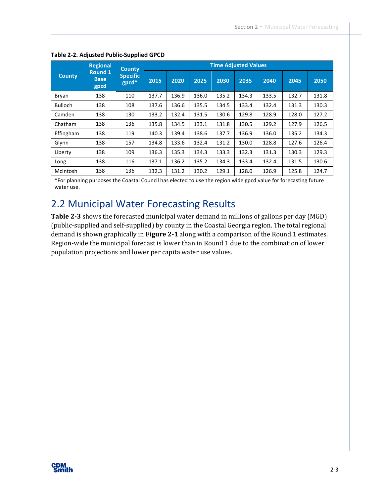|                | <b>Regional</b>                       | <b>County</b>            | <b>Time Adjusted Values</b> |       |       |       |       |       |       |       |
|----------------|---------------------------------------|--------------------------|-----------------------------|-------|-------|-------|-------|-------|-------|-------|
| <b>County</b>  | <b>Round 1</b><br><b>Base</b><br>gpcd | <b>Specific</b><br>gpcd* | 2015                        | 2020  | 2025  | 2030  | 2035  | 2040  | 2045  | 2050  |
| Bryan          | 138                                   | 110                      | 137.7                       | 136.9 | 136.0 | 135.2 | 134.3 | 133.5 | 132.7 | 131.8 |
| <b>Bulloch</b> | 138                                   | 108                      | 137.6                       | 136.6 | 135.5 | 134.5 | 133.4 | 132.4 | 131.3 | 130.3 |
| Camden         | 138                                   | 130                      | 133.2                       | 132.4 | 131.5 | 130.6 | 129.8 | 128.9 | 128.0 | 127.2 |
| Chatham        | 138                                   | 136                      | 135.8                       | 134.5 | 133.1 | 131.8 | 130.5 | 129.2 | 127.9 | 126.5 |
| Effingham      | 138                                   | 119                      | 140.3                       | 139.4 | 138.6 | 137.7 | 136.9 | 136.0 | 135.2 | 134.3 |
| Glynn          | 138                                   | 157                      | 134.8                       | 133.6 | 132.4 | 131.2 | 130.0 | 128.8 | 127.6 | 126.4 |
| Liberty        | 138                                   | 109                      | 136.3                       | 135.3 | 134.3 | 133.3 | 132.3 | 131.3 | 130.3 | 129.3 |
| Long           | 138                                   | 116                      | 137.1                       | 136.2 | 135.2 | 134.3 | 133.4 | 132.4 | 131.5 | 130.6 |
| McIntosh       | 138                                   | 136                      | 132.3                       | 131.2 | 130.2 | 129.1 | 128.0 | 126.9 | 125.8 | 124.7 |

#### **Table 2-2. Adjusted Public-Supplied GPCD**

\*For planning purposes the Coastal Council has elected to use the region wide gpcd value for forecasting future water use.

### 2.2 Municipal Water Forecasting Results

**Table 2-3** shows the forecasted municipal water demand in millions of gallons per day (MGD) (public-supplied and self-supplied) by county in the Coastal Georgia region. The total regional demand is shown graphically in **Figure 2-1** along with a comparison of the Round 1 estimates. Region-wide the municipal forecast is lower than in Round 1 due to the combination of lower population projections and lower per capita water use values.

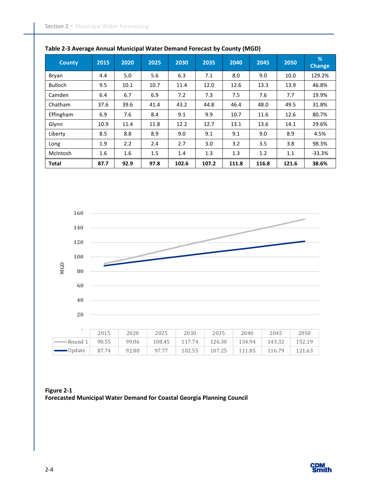| <b>County</b>  | 2015 | 2020 | 2025 | 2030  | 2035  | 2040  | 2045  | 2050  | %<br><b>Change</b> |
|----------------|------|------|------|-------|-------|-------|-------|-------|--------------------|
| Bryan          | 4.4  | 5.0  | 5.6  | 6.3   | 7.1   | 8.0   | 9.0   | 10.0  | 129.2%             |
| <b>Bulloch</b> | 9.5  | 10.1 | 10.7 | 11.4  | 12.0  | 12.6  | 13.3  | 13.9  | 46.8%              |
| Camden         | 6.4  | 6.7  | 6.9  | 7.2   | 7.3   | 7.5   | 7.6   | 7.7   | 19.9%              |
| Chatham        | 37.6 | 39.6 | 41.4 | 43.2  | 44.8  | 46.4  | 48.0  | 49.5  | 31.8%              |
| Effingham      | 6.9  | 7.6  | 8.4  | 9.1   | 9.9   | 10.7  | 11.6  | 12.6  | 80.7%              |
| Glynn          | 10.9 | 11.4 | 11.8 | 12.2  | 12.7  | 13.1  | 13.6  | 14.1  | 29.6%              |
| Liberty        | 8.5  | 8.8  | 8.9  | 9.0   | 9.1   | 9.1   | 9.0   | 8.9   | 4.5%               |
| Long           | 1.9  | 2.2  | 2.4  | 2.7   | 3.0   | 3.2   | 3.5   | 3.8   | 98.3%              |
| McIntosh       | 1.6  | 1.6  | 1.5  | 1.4   | 1.3   | 1.3   | 1.2   | 1.1   | $-33.3%$           |
| <b>Total</b>   | 87.7 | 92.9 | 97.8 | 102.6 | 107.2 | 111.8 | 116.8 | 121.6 | 38.6%              |





**Figure 2-1 Forecasted Municipal Water Demand for Coastal Georgia Planning Council** 

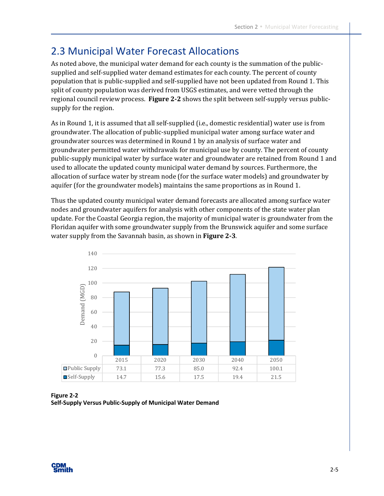### 2.3 Municipal Water Forecast Allocations

As noted above, the municipal water demand for each county is the summation of the publicsupplied and self-supplied water demand estimates for each county. The percent of county population that is public-supplied and self-supplied have not been updated from Round 1. This split of county population was derived from USGS estimates, and were vetted through the regional council review process. **Figure 2-2** shows the split between self-supply versus publicsupply for the region.

As in Round 1, it is assumed that all self-supplied (i.e., domestic residential) water use is from groundwater. The allocation of public-supplied municipal water among surface water and groundwater sources was determined in Round 1 by an analysis of surface water and groundwater permitted water withdrawals for municipal use by county. The percent of county public-supply municipal water by surface water and groundwater are retained from Round 1 and used to allocate the updated county municipal water demand by sources. Furthermore, the allocation of surface water by stream node (for the surface water models) and groundwater by aquifer (for the groundwater models) maintains the same proportions as in Round 1.

Thus the updated county municipal water demand forecasts are allocated among surface water nodes and groundwater aquifers for analysis with other components of the state water plan update. For the Coastal Georgia region, the majority of municipal water is groundwater from the Floridan aquifer with some groundwater supply from the Brunswick aquifer and some surface water supply from the Savannah basin, as shown in **Figure 2-3**.



**Figure 2-2 Self-Supply Versus Public-Supply of Municipal Water Demand** 

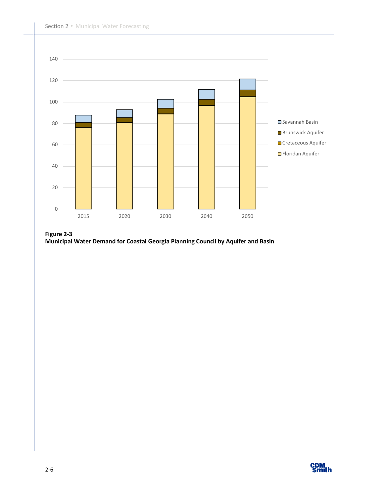

**Figure 2-3 Municipal Water Demand for Coastal Georgia Planning Council by Aquifer and Basin** 

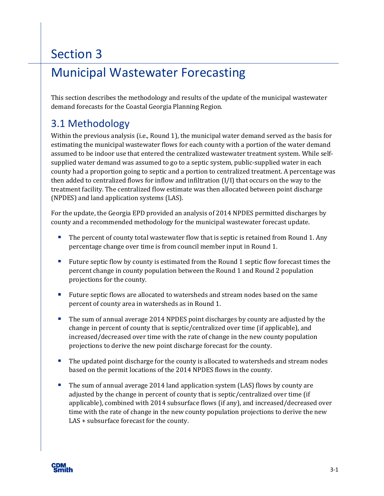## Municipal Wastewater Forecasting

This section describes the methodology and results of the update of the municipal wastewater demand forecasts for the Coastal Georgia Planning Region.

### 3.1 Methodology

Within the previous analysis (i.e., Round 1), the municipal water demand served as the basis for estimating the municipal wastewater flows for each county with a portion of the water demand assumed to be indoor use that entered the centralized wastewater treatment system. While selfsupplied water demand was assumed to go to a septic system, public-supplied water in each county had a proportion going to septic and a portion to centralized treatment. A percentage was then added to centralized flows for inflow and infiltration (I/I) that occurs on the way to the treatment facility. The centralized flow estimate was then allocated between point discharge (NPDES) and land application systems (LAS).

For the update, the Georgia EPD provided an analysis of 2014 NPDES permitted discharges by county and a recommended methodology for the municipal wastewater forecast update.

- The percent of county total wastewater flow that is septic is retained from Round 1. Any percentage change over time is from council member input in Round 1.
- **Future septic flow by county is estimated from the Round 1 septic flow forecast times the** percent change in county population between the Round 1 and Round 2 population projections for the county.
- **Future septic flows are allocated to watersheds and stream nodes based on the same** percent of county area in watersheds as in Round 1.
- The sum of annual average 2014 NPDES point discharges by county are adjusted by the change in percent of county that is septic/centralized over time (if applicable), and increased/decreased over time with the rate of change in the new county population projections to derive the new point discharge forecast for the county.
- **The updated point discharge for the county is allocated to watersheds and stream nodes** based on the permit locations of the 2014 NPDES flows in the county.
- The sum of annual average 2014 land application system (LAS) flows by county are adjusted by the change in percent of county that is septic/centralized over time (if applicable), combined with 2014 subsurface flows (if any), and increased/decreased over time with the rate of change in the new county population projections to derive the new LAS + subsurface forecast for the county.

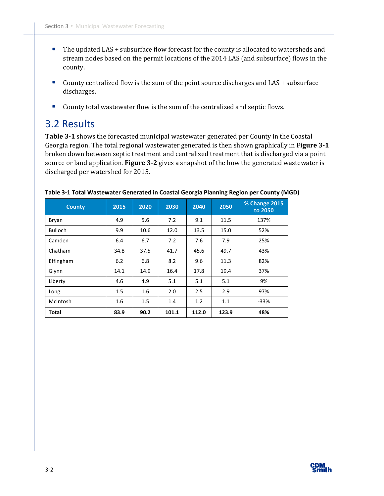- The updated LAS + subsurface flow forecast for the county is allocated to watersheds and stream nodes based on the permit locations of the 2014 LAS (and subsurface) flows in the county.
- County centralized flow is the sum of the point source discharges and LAS + subsurface discharges.
- **County total wastewater flow is the sum of the centralized and septic flows.**

### 3.2 Results

**Table 3-1** shows the forecasted municipal wastewater generated per County in the Coastal Georgia region. The total regional wastewater generated is then shown graphically in **Figure 3-1** broken down between septic treatment and centralized treatment that is discharged via a point source or land application. **Figure 3-2** gives a snapshot of the how the generated wastewater is discharged per watershed for 2015.

| <b>County</b>  | 2015 | 2020 | 2030  | 2040  | 2050  | % Change 2015<br>to 2050 |
|----------------|------|------|-------|-------|-------|--------------------------|
| Bryan          | 4.9  | 5.6  | 7.2   | 9.1   | 11.5  | 137%                     |
| <b>Bulloch</b> | 9.9  | 10.6 | 12.0  | 13.5  | 15.0  | 52%                      |
| Camden         | 6.4  | 6.7  | 7.2   | 7.6   | 7.9   | 25%                      |
| Chatham        | 34.8 | 37.5 | 41.7  | 45.6  | 49.7  | 43%                      |
| Effingham      | 6.2  | 6.8  | 8.2   | 9.6   | 11.3  | 82%                      |
| Glynn          | 14.1 | 14.9 | 16.4  | 17.8  | 19.4  | 37%                      |
| Liberty        | 4.6  | 4.9  | 5.1   | 5.1   | 5.1   | 9%                       |
| Long           | 1.5  | 1.6  | 2.0   | 2.5   | 2.9   | 97%                      |
| McIntosh       | 1.6  | 1.5  | 1.4   | 1.2   | 1.1   | $-33%$                   |
| <b>Total</b>   | 83.9 | 90.2 | 101.1 | 112.0 | 123.9 | 48%                      |

| Table 3-1 Total Wastewater Generated in Coastal Georgia Planning Region per County (MGD) |  |
|------------------------------------------------------------------------------------------|--|
|------------------------------------------------------------------------------------------|--|

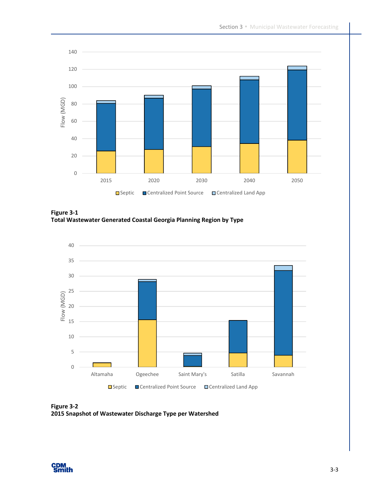

**Figure 3-1 Total Wastewater Generated Coastal Georgia Planning Region by Type** 



**Figure 3-2 2015 Snapshot of Wastewater Discharge Type per Watershed** 

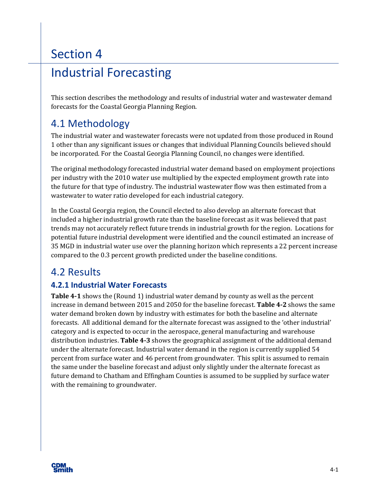## Industrial Forecasting

This section describes the methodology and results of industrial water and wastewater demand forecasts for the Coastal Georgia Planning Region.

### 4.1 Methodology

The industrial water and wastewater forecasts were not updated from those produced in Round 1 other than any significant issues or changes that individual Planning Councils believed should be incorporated. For the Coastal Georgia Planning Council, no changes were identified.

The original methodology forecasted industrial water demand based on employment projections per industry with the 2010 water use multiplied by the expected employment growth rate into the future for that type of industry. The industrial wastewater flow was then estimated from a wastewater to water ratio developed for each industrial category.

In the Coastal Georgia region, the Council elected to also develop an alternate forecast that included a higher industrial growth rate than the baseline forecast as it was believed that past trends may not accurately reflect future trends in industrial growth for the region. Locations for potential future industrial development were identified and the council estimated an increase of 35 MGD in industrial water use over the planning horizon which represents a 22 percent increase compared to the 0.3 percent growth predicted under the baseline conditions.

### 4.2 Results

### **4.2.1 Industrial Water Forecasts**

**Table 4-1** shows the (Round 1) industrial water demand by county as well as the percent increase in demand between 2015 and 2050 for the baseline forecast. **Table 4-2** shows the same water demand broken down by industry with estimates for both the baseline and alternate forecasts. All additional demand for the alternate forecast was assigned to the 'other industrial' category and is expected to occur in the aerospace, general manufacturing and warehouse distribution industries. **Table 4-3** shows the geographical assignment of the additional demand under the alternate forecast. Industrial water demand in the region is currently supplied 54 percent from surface water and 46 percent from groundwater. This split is assumed to remain the same under the baseline forecast and adjust only slightly under the alternate forecast as future demand to Chatham and Effingham Counties is assumed to be supplied by surface water with the remaining to groundwater.

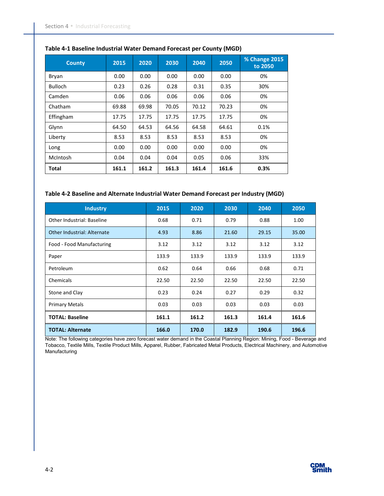| <b>County</b>  | 2015  | 2020  | 2030  | 2040  | 2050  | % Change 2015<br>to 2050 |
|----------------|-------|-------|-------|-------|-------|--------------------------|
| Bryan          | 0.00  | 0.00  | 0.00  | 0.00  | 0.00  | 0%                       |
| <b>Bulloch</b> | 0.23  | 0.26  | 0.28  | 0.31  | 0.35  | 30%                      |
| Camden         | 0.06  | 0.06  | 0.06  | 0.06  | 0.06  | 0%                       |
| Chatham        | 69.88 | 69.98 | 70.05 | 70.12 | 70.23 | 0%                       |
| Effingham      | 17.75 | 17.75 | 17.75 | 17.75 | 17.75 | 0%                       |
| Glynn          | 64.50 | 64.53 | 64.56 | 64.58 | 64.61 | 0.1%                     |
| Liberty        | 8.53  | 8.53  | 8.53  | 8.53  | 8.53  | 0%                       |
| Long           | 0.00  | 0.00  | 0.00  | 0.00  | 0.00  | 0%                       |
| McIntosh       | 0.04  | 0.04  | 0.04  | 0.05  | 0.06  | 33%                      |
| Total          | 161.1 | 161.2 | 161.3 | 161.4 | 161.6 | 0.3%                     |

#### **Table 4-1 Baseline Industrial Water Demand Forecast per County (MGD)**

#### **Table 4-2 Baseline and Alternate Industrial Water Demand Forecast per Industry (MGD)**

| <b>Industry</b>                    | 2015  | 2020  | 2030  | 2040  | 2050  |
|------------------------------------|-------|-------|-------|-------|-------|
| <b>Other Industrial: Baseline</b>  | 0.68  | 0.71  | 0.79  | 0.88  | 1.00  |
| <b>Other Industrial: Alternate</b> | 4.93  | 8.86  | 21.60 | 29.15 | 35.00 |
| Food - Food Manufacturing          | 3.12  | 3.12  | 3.12  | 3.12  | 3.12  |
| Paper                              | 133.9 | 133.9 | 133.9 | 133.9 | 133.9 |
| Petroleum                          | 0.62  | 0.64  | 0.66  | 0.68  | 0.71  |
| Chemicals                          | 22.50 | 22.50 | 22.50 | 22.50 | 22.50 |
| Stone and Clay                     | 0.23  | 0.24  | 0.27  | 0.29  | 0.32  |
| <b>Primary Metals</b>              | 0.03  | 0.03  | 0.03  | 0.03  | 0.03  |
| <b>TOTAL: Baseline</b>             | 161.1 | 161.2 | 161.3 | 161.4 | 161.6 |
| <b>TOTAL: Alternate</b>            | 166.0 | 170.0 | 182.9 | 190.6 | 196.6 |

Note: The following categories have zero forecast water demand in the Coastal Planning Region: Mining, Food - Beverage and Tobacco, Textile Mills, Textile Product Mills, Apparel, Rubber, Fabricated Metal Products, Electrical Machinery, and Automotive **Manufacturing** 

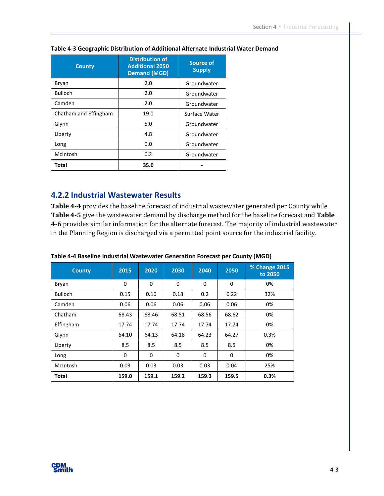| <b>County</b>         | <b>Distribution of</b><br><b>Additional 2050</b><br><b>Demand (MGD)</b> | <b>Source of</b><br><b>Supply</b> |
|-----------------------|-------------------------------------------------------------------------|-----------------------------------|
| Bryan                 | 2.0                                                                     | Groundwater                       |
| <b>Bulloch</b>        | 2.0                                                                     | Groundwater                       |
| Camden                | 2.0                                                                     | Groundwater                       |
| Chatham and Effingham | 19.0                                                                    | Surface Water                     |
| Glynn                 | 5.0                                                                     | Groundwater                       |
| Liberty               | 4.8                                                                     | Groundwater                       |
| Long                  | 0.0                                                                     | Groundwater                       |
| McIntosh              | 0.2                                                                     | Groundwater                       |
| <b>Total</b>          | 35.0                                                                    |                                   |

#### **Table 4-3 Geographic Distribution of Additional Alternate Industrial Water Demand**

#### **4.2.2 Industrial Wastewater Results**

**Table 4-4** provides the baseline forecast of industrial wastewater generated per County while **Table 4-5** give the wastewater demand by discharge method for the baseline forecast and **Table 4-6** provides similar information for the alternate forecast. The majority of industrial wastewater in the Planning Region is discharged via a permitted point source for the industrial facility.

| <b>County</b>  | 2015  | 2020     | 2030        | 2040  | 2050        | % Change 2015<br>to 2050 |
|----------------|-------|----------|-------------|-------|-------------|--------------------------|
| Bryan          | 0     | $\Omega$ | $\mathbf 0$ | 0     | $\mathbf 0$ | 0%                       |
| <b>Bulloch</b> | 0.15  | 0.16     | 0.18        | 0.2   | 0.22        | 32%                      |
| Camden         | 0.06  | 0.06     | 0.06        | 0.06  | 0.06        | 0%                       |
| Chatham        | 68.43 | 68.46    | 68.51       | 68.56 | 68.62       | 0%                       |
| Effingham      | 17.74 | 17.74    | 17.74       | 17.74 | 17.74       | 0%                       |
| Glynn          | 64.10 | 64.13    | 64.18       | 64.23 | 64.27       | 0.3%                     |
| Liberty        | 8.5   | 8.5      | 8.5         | 8.5   | 8.5         | 0%                       |
| Long           | 0     | $\Omega$ | 0           | 0     | $\mathbf 0$ | 0%                       |
| McIntosh       | 0.03  | 0.03     | 0.03        | 0.03  | 0.04        | 25%                      |
| <b>Total</b>   | 159.0 | 159.1    | 159.2       | 159.3 | 159.5       | 0.3%                     |

| Table 4-4 Baseline Industrial Wastewater Generation Forecast per County (MGD) |
|-------------------------------------------------------------------------------|
|-------------------------------------------------------------------------------|

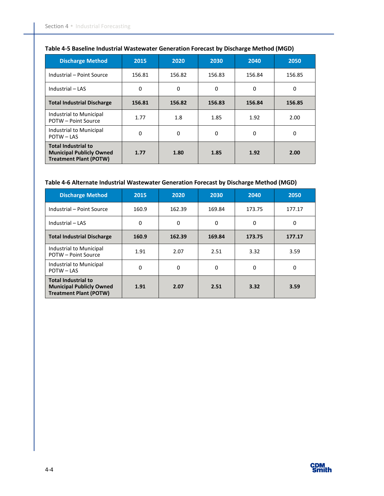| <b>Discharge Method</b>                                                                        | 2015        | 2020     | 2030     | 2040     | 2050     |
|------------------------------------------------------------------------------------------------|-------------|----------|----------|----------|----------|
| Industrial - Point Source                                                                      | 156.81      | 156.82   | 156.83   | 156.84   | 156.85   |
| Industrial - LAS                                                                               | $\mathbf 0$ | $\Omega$ | $\Omega$ | $\Omega$ | $\Omega$ |
| <b>Total Industrial Discharge</b>                                                              | 156.81      | 156.82   | 156.83   | 156.84   | 156.85   |
| Industrial to Municipal<br><b>POTW - Point Source</b>                                          | 1.77        | 1.8      | 1.85     | 1.92     | 2.00     |
| Industrial to Municipal<br>POTW - LAS                                                          | 0           | $\Omega$ | $\Omega$ | $\Omega$ | $\Omega$ |
| <b>Total Industrial to</b><br><b>Municipal Publicly Owned</b><br><b>Treatment Plant (POTW)</b> | 1.77        | 1.80     | 1.85     | 1.92     | 2.00     |

#### **Table 4-5 Baseline Industrial Wastewater Generation Forecast by Discharge Method (MGD)**

#### **Table 4-6 Alternate Industrial Wastewater Generation Forecast by Discharge Method (MGD)**

| <b>Discharge Method</b>                                                                        | 2015  | 2020     | 2030   | 2040   | 2050     |
|------------------------------------------------------------------------------------------------|-------|----------|--------|--------|----------|
| Industrial - Point Source                                                                      | 160.9 | 162.39   | 169.84 | 173.75 | 177.17   |
| Industrial - LAS                                                                               | 0     | $\Omega$ | 0      | 0      | $\Omega$ |
| <b>Total Industrial Discharge</b>                                                              | 160.9 | 162.39   | 169.84 | 173.75 | 177.17   |
| Industrial to Municipal<br>POTW - Point Source                                                 | 1.91  | 2.07     | 2.51   | 3.32   | 3.59     |
| Industrial to Municipal<br>POTW-LAS                                                            | 0     | $\Omega$ | 0      | 0      | $\Omega$ |
| <b>Total Industrial to</b><br><b>Municipal Publicly Owned</b><br><b>Treatment Plant (POTW)</b> | 1.91  | 2.07     | 2.51   | 3.32   | 3.59     |

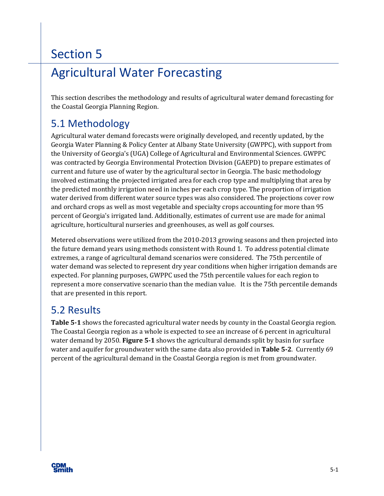## Agricultural Water Forecasting

This section describes the methodology and results of agricultural water demand forecasting for the Coastal Georgia Planning Region.

### 5.1 Methodology

Agricultural water demand forecasts were originally developed, and recently updated, by the Georgia Water Planning & Policy Center at Albany State University (GWPPC), with support from the University of Georgia's (UGA) College of Agricultural and Environmental Sciences. GWPPC was contracted by Georgia Environmental Protection Division (GAEPD) to prepare estimates of current and future use of water by the agricultural sector in Georgia. The basic methodology involved estimating the projected irrigated area for each crop type and multiplying that area by the predicted monthly irrigation need in inches per each crop type. The proportion of irrigation water derived from different water source types was also considered. The projections cover row and orchard crops as well as most vegetable and specialty crops accounting for more than 95 percent of Georgia's irrigated land. Additionally, estimates of current use are made for animal agriculture, horticultural nurseries and greenhouses, as well as golf courses.

Metered observations were utilized from the 2010-2013 growing seasons and then projected into the future demand years using methods consistent with Round 1. To address potential climate extremes, a range of agricultural demand scenarios were considered. The 75th percentile of water demand was selected to represent dry year conditions when higher irrigation demands are expected. For planning purposes, GWPPC used the 75th percentile values for each region to represent a more conservative scenario than the median value. It is the 75th percentile demands that are presented in this report.

### 5.2 Results

**Table 5-1** shows the forecasted agricultural water needs by county in the Coastal Georgia region. The Coastal Georgia region as a whole is expected to see an increase of 6 percent in agricultural water demand by 2050. **Figure 5-1** shows the agricultural demands split by basin for surface water and aquifer for groundwater with the same data also provided in **Table 5-2**. Currently 69 percent of the agricultural demand in the Coastal Georgia region is met from groundwater.

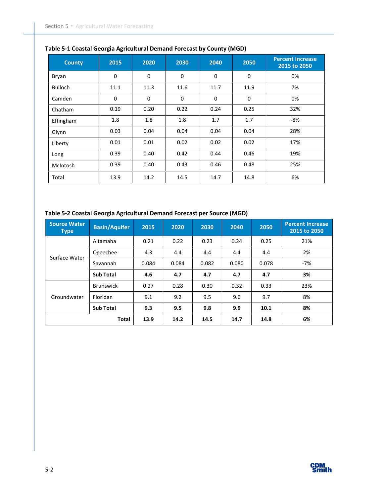| <b>County</b>  | 2015        | 2020        | 2030        | 2040        | 2050        | <b>Percent Increase</b><br>2015 to 2050 |
|----------------|-------------|-------------|-------------|-------------|-------------|-----------------------------------------|
| Bryan          | $\mathbf 0$ | $\mathbf 0$ | $\mathbf 0$ | $\mathbf 0$ | $\mathbf 0$ | 0%                                      |
| <b>Bulloch</b> | 11.1        | 11.3        | 11.6        | 11.7        | 11.9        | 7%                                      |
| Camden         | $\mathbf 0$ | $\mathbf 0$ | $\mathbf 0$ | $\Omega$    | $\mathbf 0$ | 0%                                      |
| Chatham        | 0.19        | 0.20        | 0.22        | 0.24        | 0.25        | 32%                                     |
| Effingham      | 1.8         | 1.8         | 1.8         | 1.7         | 1.7         | -8%                                     |
| Glynn          | 0.03        | 0.04        | 0.04        | 0.04        | 0.04        | 28%                                     |
| Liberty        | 0.01        | 0.01        | 0.02        | 0.02        | 0.02        | 17%                                     |
| Long           | 0.39        | 0.40        | 0.42        | 0.44        | 0.46        | 19%                                     |
| McIntosh       | 0.39        | 0.40        | 0.43        | 0.46        | 0.48        | 25%                                     |
| Total          | 13.9        | 14.2        | 14.5        | 14.7        | 14.8        | 6%                                      |

#### **Table 5-1 Coastal Georgia Agricultural Demand Forecast by County (MGD)**

#### **Table 5-2 Coastal Georgia Agricultural Demand Forecast per Source (MGD)**

| <b>Source Water</b><br><b>Type</b> | <b>Basin/Aquifer</b> | 2015  | 2020  | 2030  | 2040  | 2050  | <b>Percent Increase</b><br>2015 to 2050 |
|------------------------------------|----------------------|-------|-------|-------|-------|-------|-----------------------------------------|
|                                    | Altamaha             | 0.21  | 0.22  | 0.23  | 0.24  | 0.25  | 21%                                     |
|                                    | Ogeechee             | 4.3   | 4.4   | 4.4   | 4.4   | 4.4   | 2%                                      |
| Surface Water                      | Savannah             | 0.084 | 0.084 | 0.082 | 0.080 | 0.078 | $-7%$                                   |
|                                    | <b>Sub Total</b>     | 4.6   | 4.7   | 4.7   | 4.7   | 4.7   | 3%                                      |
|                                    | <b>Brunswick</b>     | 0.27  | 0.28  | 0.30  | 0.32  | 0.33  | 23%                                     |
| Groundwater                        | Floridan             | 9.1   | 9.2   | 9.5   | 9.6   | 9.7   | 8%                                      |
|                                    | <b>Sub Total</b>     | 9.3   | 9.5   | 9.8   | 9.9   | 10.1  | 8%                                      |
|                                    | <b>Total</b>         | 13.9  | 14.2  | 14.5  | 14.7  | 14.8  | 6%                                      |

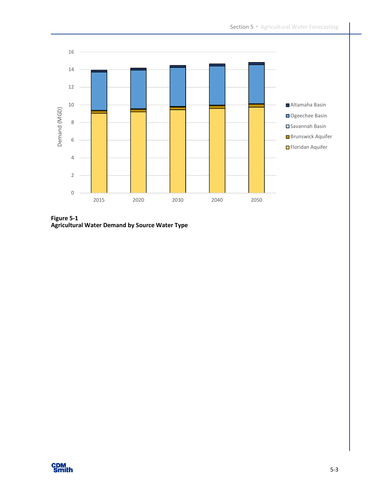

**Figure 5-1 Agricultural Water Demand by Source Water Type** 

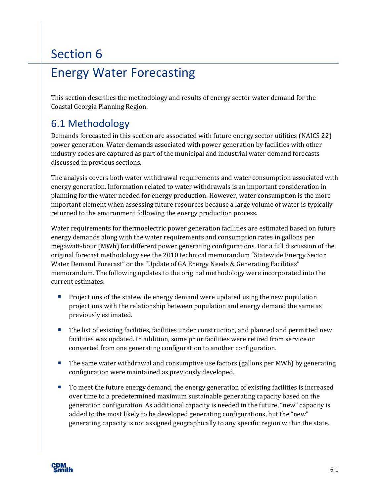## Energy Water Forecasting

This section describes the methodology and results of energy sector water demand for the Coastal Georgia Planning Region.

### 6.1 Methodology

Demands forecasted in this section are associated with future energy sector utilities (NAICS 22) power generation. Water demands associated with power generation by facilities with other industry codes are captured as part of the municipal and industrial water demand forecasts discussed in previous sections.

The analysis covers both water withdrawal requirements and water consumption associated with energy generation. Information related to water withdrawals is an important consideration in planning for the water needed for energy production. However, water consumption is the more important element when assessing future resources because a large volume of water is typically returned to the environment following the energy production process.

Water requirements for thermoelectric power generation facilities are estimated based on future energy demands along with the water requirements and consumption rates in gallons per megawatt-hour (MWh) for different power generating configurations. For a full discussion of the original forecast methodology see the 2010 technical memorandum "Statewide Energy Sector Water Demand Forecast" or the "Update of GA Energy Needs & Generating Facilities" memorandum. The following updates to the original methodology were incorporated into the current estimates:

- **Projections of the statewide energy demand were updated using the new population** projections with the relationship between population and energy demand the same as previously estimated.
- **The list of existing facilities, facilities under construction, and planned and permitted new** facilities was updated. In addition, some prior facilities were retired from service or converted from one generating configuration to another configuration.
- **The same water withdrawal and consumptive use factors (gallons per MWh) by generating** configuration were maintained as previously developed.
- To meet the future energy demand, the energy generation of existing facilities is increased over time to a predetermined maximum sustainable generating capacity based on the generation configuration. As additional capacity is needed in the future, "new" capacity is added to the most likely to be developed generating configurations, but the "new" generating capacity is not assigned geographically to any specific region within the state.

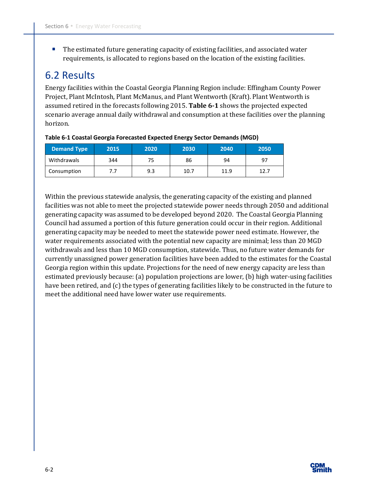The estimated future generating capacity of existing facilities, and associated water requirements, is allocated to regions based on the location of the existing facilities.

### 6.2 Results

Energy facilities within the Coastal Georgia Planning Region include: Effingham County Power Project, Plant McIntosh, Plant McManus, and Plant Wentworth (Kraft). Plant Wentworth is assumed retired in the forecasts following 2015. **Table 6-1** shows the projected expected scenario average annual daily withdrawal and consumption at these facilities over the planning horizon.

| <b>Demand Type</b> | 2015 | 2020 | 2030 | 2040 | 2050 |
|--------------------|------|------|------|------|------|
| Withdrawals        | 344  | 75   | 86   | 94   | 97   |
| Consumption        |      | 9.3  | 10.7 | 11.9 | 12.7 |

**Table 6-1 Coastal Georgia Forecasted Expected Energy Sector Demands (MGD)** 

Within the previous statewide analysis, the generating capacity of the existing and planned facilities was not able to meet the projected statewide power needs through 2050 and additional generating capacity was assumed to be developed beyond 2020. The Coastal Georgia Planning Council had assumed a portion of this future generation could occur in their region. Additional generating capacity may be needed to meet the statewide power need estimate. However, the water requirements associated with the potential new capacity are minimal; less than 20 MGD withdrawals and less than 10 MGD consumption, statewide. Thus, no future water demands for currently unassigned power generation facilities have been added to the estimates for the Coastal Georgia region within this update. Projections for the need of new energy capacity are less than estimated previously because: (a) population projections are lower, (b) high water-using facilities have been retired, and (c) the types of generating facilities likely to be constructed in the future to meet the additional need have lower water use requirements.

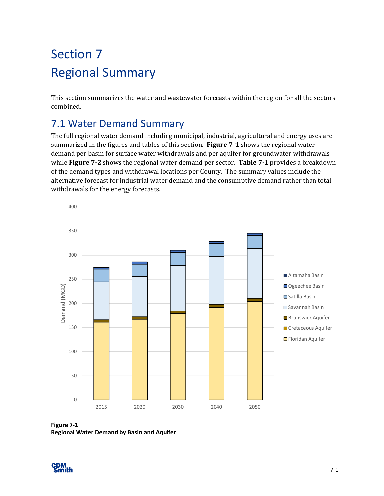# Section 7 Regional Summary

This section summarizes the water and wastewater forecasts within the region for all the sectors combined.

## 7.1 Water Demand Summary

The full regional water demand including municipal, industrial, agricultural and energy uses are summarized in the figures and tables of this section. **Figure 7-1** shows the regional water demand per basin for surface water withdrawals and per aquifer for groundwater withdrawals while **Figure 7-2** shows the regional water demand per sector. **Table 7-1** provides a breakdown of the demand types and withdrawal locations per County. The summary values include the alternative forecast for industrial water demand and the consumptive demand rather than total withdrawals for the energy forecasts.



**Figure 7-1 Regional Water Demand by Basin and Aquifer** 

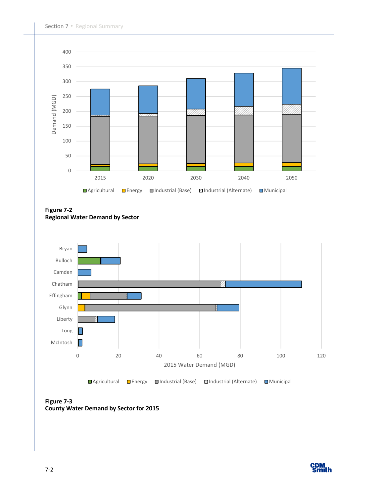

**Figure 7-2 Regional Water Demand by Sector** 



**Figure 7-3 County Water Demand by Sector for 2015** 

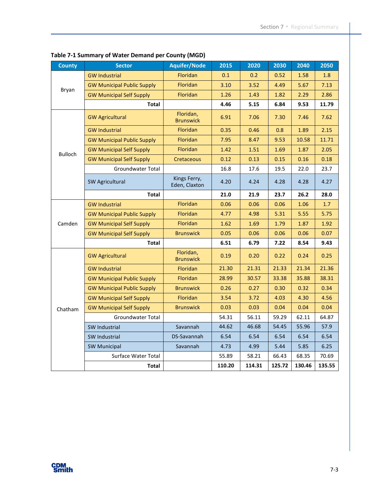| <b>County</b>  | <b>Sector</b>                     | <b>Aquifer/Node</b>           | 2015   | 2020   | 2030   | 2040   | 2050   |
|----------------|-----------------------------------|-------------------------------|--------|--------|--------|--------|--------|
|                | <b>GW Industrial</b>              | Floridan                      | 0.1    | 0.2    | 0.52   | 1.58   | 1.8    |
| Bryan          | <b>GW Municipal Public Supply</b> | Floridan                      | 3.10   | 3.52   | 4.49   | 5.67   | 7.13   |
|                | <b>GW Municipal Self Supply</b>   | <b>Floridan</b>               | 1.26   | 1.43   | 1.82   | 2.29   | 2.86   |
|                | Total                             |                               | 4.46   | 5.15   | 6.84   | 9.53   | 11.79  |
|                | <b>GW Agricultural</b>            | Floridan,<br><b>Brunswick</b> | 6.91   | 7.06   | 7.30   | 7.46   | 7.62   |
|                | <b>GW Industrial</b>              | <b>Floridan</b>               | 0.35   | 0.46   | 0.8    | 1.89   | 2.15   |
|                | <b>GW Municipal Public Supply</b> | Floridan                      | 7.95   | 8.47   | 9.53   | 10.58  | 11.71  |
| <b>Bulloch</b> | <b>GW Municipal Self Supply</b>   | Floridan                      | 1.42   | 1.51   | 1.69   | 1.87   | 2.05   |
|                | <b>GW Municipal Self Supply</b>   | Cretaceous                    | 0.12   | 0.13   | 0.15   | 0.16   | 0.18   |
|                | <b>Groundwater Total</b>          |                               | 16.8   | 17.6   | 19.5   | 22.0   | 23.7   |
|                | <b>SW Agricultural</b>            | Kings Ferry,<br>Eden, Claxton | 4.20   | 4.24   | 4.28   | 4.28   | 4.27   |
|                | <b>Total</b>                      |                               | 21.0   | 21.9   | 23.7   | 26.2   | 28.0   |
|                | <b>GW Industrial</b>              | Floridan                      | 0.06   | 0.06   | 0.06   | 1.06   | 1.7    |
|                | <b>GW Municipal Public Supply</b> | <b>Floridan</b>               | 4.77   | 4.98   | 5.31   | 5.55   | 5.75   |
| Camden         | <b>GW Municipal Self Supply</b>   | Floridan                      | 1.62   | 1.69   | 1.79   | 1.87   | 1.92   |
|                | <b>GW Municipal Self Supply</b>   | <b>Brunswick</b>              | 0.05   | 0.06   | 0.06   | 0.06   | 0.07   |
|                | Total                             |                               | 6.51   | 6.79   | 7.22   | 8.54   | 9.43   |
|                | <b>GW Agricultural</b>            | Floridan,<br><b>Brunswick</b> | 0.19   | 0.20   | 0.22   | 0.24   | 0.25   |
|                | <b>GW Industrial</b>              | Floridan                      | 21.30  | 21.31  | 21.33  | 21.34  | 21.36  |
|                | <b>GW Municipal Public Supply</b> | Floridan                      | 28.99  | 30.57  | 33.38  | 35.88  | 38.31  |
|                | <b>GW Municipal Public Supply</b> | <b>Brunswick</b>              | 0.26   | 0.27   | 0.30   | 0.32   | 0.34   |
|                | <b>GW Municipal Self Supply</b>   | Floridan                      | 3.54   | 3.72   | 4.03   | 4.30   | 4.56   |
| Chatham        | <b>GW Municipal Self Supply</b>   | <b>Brunswick</b>              | 0.03   | 0.03   | 0.04   | 0.04   | 0.04   |
|                | <b>Groundwater Total</b>          |                               | 54.31  | 56.11  | 59.29  | 62.11  | 64.87  |
|                | SW Industrial                     | Savannah                      | 44.62  | 46.68  | 54.45  | 55.96  | 57.9   |
|                | <b>SW Industrial</b>              | DS-Savannah                   | 6.54   | 6.54   | 6.54   | 6.54   | 6.54   |
|                | <b>SW Municipal</b>               | Savannah                      | 4.73   | 4.99   | 5.44   | 5.85   | 6.25   |
|                | Surface Water Total               |                               | 55.89  | 58.21  | 66.43  | 68.35  | 70.69  |
|                | Total                             |                               | 110.20 | 114.31 | 125.72 | 130.46 | 135.55 |

**Table 7-1 Summary of Water Demand per County (MGD)**

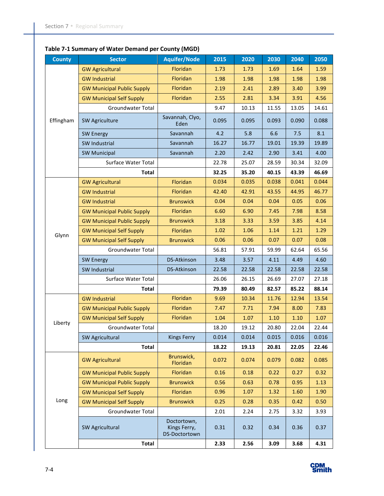### **Table 7-1 Summary of Water Demand per County (MGD)**

| <b>County</b> | <b>Sector</b>                     | <b>Aquifer/Node</b>                          | 2015  | 2020  | 2030  | 2040  | 2050  |
|---------------|-----------------------------------|----------------------------------------------|-------|-------|-------|-------|-------|
|               | <b>GW Agricultural</b>            | Floridan                                     | 1.73  | 1.73  | 1.69  | 1.64  | 1.59  |
|               | <b>GW Industrial</b>              | Floridan                                     | 1.98  | 1.98  | 1.98  | 1.98  | 1.98  |
|               | <b>GW Municipal Public Supply</b> | Floridan                                     | 2.19  | 2.41  | 2.89  | 3.40  | 3.99  |
|               | <b>GW Municipal Self Supply</b>   | Floridan                                     | 2.55  | 2.81  | 3.34  | 3.91  | 4.56  |
|               | Groundwater Total                 |                                              | 9.47  | 10.13 | 11.55 | 13.05 | 14.61 |
| Effingham     | SW Agriculture                    | Savannah, Clyo,<br>Eden                      | 0.095 | 0.095 | 0.093 | 0.090 | 0.088 |
|               | <b>SW Energy</b>                  | Savannah                                     | 4.2   | 5.8   | 6.6   | 7.5   | 8.1   |
|               | SW Industrial                     | Savannah                                     | 16.27 | 16.77 | 19.01 | 19.39 | 19.89 |
|               | <b>SW Municipal</b>               | Savannah                                     | 2.20  | 2.42  | 2.90  | 3.41  | 4.00  |
|               | Surface Water Total               |                                              | 22.78 | 25.07 | 28.59 | 30.34 | 32.09 |
|               | Total                             |                                              | 32.25 | 35.20 | 40.15 | 43.39 | 46.69 |
|               | <b>GW Agricultural</b>            | Floridan                                     | 0.034 | 0.035 | 0.038 | 0.041 | 0.044 |
|               | <b>GW Industrial</b>              | Floridan                                     | 42.40 | 42.91 | 43.55 | 44.95 | 46.77 |
|               | <b>GW Industrial</b>              | <b>Brunswick</b>                             | 0.04  | 0.04  | 0.04  | 0.05  | 0.06  |
|               | <b>GW Municipal Public Supply</b> | Floridan                                     | 6.60  | 6.90  | 7.45  | 7.98  | 8.58  |
|               | <b>GW Municipal Public Supply</b> | <b>Brunswick</b>                             | 3.18  | 3.33  | 3.59  | 3.85  | 4.14  |
| Glynn         | <b>GW Municipal Self Supply</b>   | Floridan                                     | 1.02  | 1.06  | 1.14  | 1.21  | 1.29  |
|               | <b>GW Municipal Self Supply</b>   | <b>Brunswick</b>                             | 0.06  | 0.06  | 0.07  | 0.07  | 0.08  |
|               | Groundwater Total                 |                                              | 56.81 | 57.91 | 59.99 | 62.64 | 65.56 |
|               | <b>SW Energy</b>                  | DS-Atkinson                                  | 3.48  | 3.57  | 4.11  | 4.49  | 4.60  |
|               | SW Industrial                     | <b>DS-Atkinson</b>                           | 22.58 | 22.58 | 22.58 | 22.58 | 22.58 |
|               | Surface Water Total               |                                              | 26.06 | 26.15 | 26.69 | 27.07 | 27.18 |
|               | <b>Total</b>                      |                                              | 79.39 | 80.49 | 82.57 | 85.22 | 88.14 |
|               | <b>GW Industrial</b>              | Floridan                                     | 9.69  | 10.34 | 11.76 | 12.94 | 13.54 |
|               | <b>GW Municipal Public Supply</b> | Floridan                                     | 7.47  | 7.71  | 7.94  | 8.00  | 7.83  |
| Liberty       | <b>GW Municipal Self Supply</b>   | Floridan                                     | 1.04  | 1.07  | 1.10  | 1.10  | 1.07  |
|               | Groundwater Total                 |                                              | 18.20 | 19.12 | 20.80 | 22.04 | 22.44 |
|               | <b>SW Agricultural</b>            | <b>Kings Ferry</b>                           | 0.014 | 0.014 | 0.015 | 0.016 | 0.016 |
|               | <b>Total</b>                      |                                              | 18.22 | 19.13 | 20.81 | 22.05 | 22.46 |
|               | <b>GW Agricultural</b>            | Brunswick,<br>Floridan                       | 0.072 | 0.074 | 0.079 | 0.082 | 0.085 |
|               | <b>GW Municipal Public Supply</b> | Floridan                                     | 0.16  | 0.18  | 0.22  | 0.27  | 0.32  |
|               | <b>GW Municipal Public Supply</b> | <b>Brunswick</b>                             | 0.56  | 0.63  | 0.78  | 0.95  | 1.13  |
|               | <b>GW Municipal Self Supply</b>   | Floridan                                     | 0.96  | 1.07  | 1.32  | 1.60  | 1.90  |
| Long          | <b>GW Municipal Self Supply</b>   | <b>Brunswick</b>                             | 0.25  | 0.28  | 0.35  | 0.42  | 0.50  |
|               | Groundwater Total                 |                                              | 2.01  | 2.24  | 2.75  | 3.32  | 3.93  |
|               | SW Agricultural                   | Doctortown,<br>Kings Ferry,<br>DS-Doctortown | 0.31  | 0.32  | 0.34  | 0.36  | 0.37  |
|               | Total                             |                                              | 2.33  | 2.56  | 3.09  | 3.68  | 4.31  |

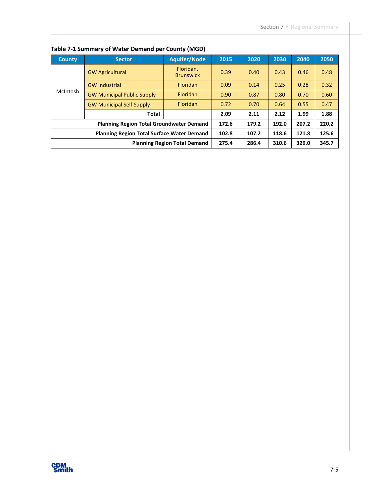| <b>County</b>                                     | <b>Sector</b>                                   | <b>Aquifer/Node</b>                 | 2015  | 2020  | 2030  | 2040  | 2050  |
|---------------------------------------------------|-------------------------------------------------|-------------------------------------|-------|-------|-------|-------|-------|
|                                                   | <b>GW Agricultural</b>                          | Floridan,<br><b>Brunswick</b>       | 0.39  | 0.40  | 0.43  | 0.46  | 0.48  |
|                                                   | <b>GW Industrial</b>                            | Floridan                            | 0.09  | 0.14  | 0.25  | 0.28  | 0.32  |
| McIntosh                                          | <b>GW Municipal Public Supply</b>               | <b>Floridan</b>                     | 0.90  | 0.87  | 0.80  | 0.70  | 0.60  |
|                                                   | <b>GW Municipal Self Supply</b>                 | <b>Floridan</b>                     | 0.72  | 0.70  | 0.64  | 0.55  | 0.47  |
|                                                   | <b>Total</b>                                    | 2.09                                | 2.11  | 2.12  | 1.99  | 1.88  |       |
|                                                   | <b>Planning Region Total Groundwater Demand</b> |                                     | 172.6 | 179.2 | 192.0 | 207.2 | 220.2 |
| <b>Planning Region Total Surface Water Demand</b> |                                                 |                                     | 102.8 | 107.2 | 118.6 | 121.8 | 125.6 |
|                                                   |                                                 | <b>Planning Region Total Demand</b> | 275.4 | 286.4 | 310.6 | 329.0 | 345.7 |

**Table 7-1 Summary of Water Demand per County (MGD)**

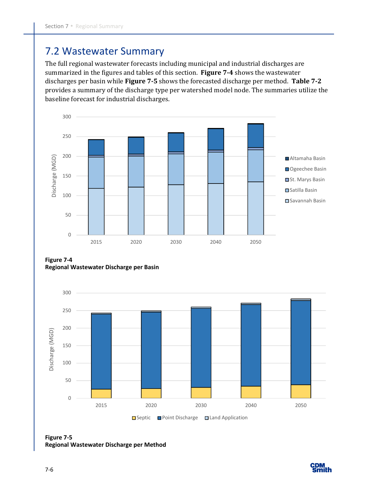### 7.2 Wastewater Summary

The full regional wastewater forecasts including municipal and industrial discharges are summarized in the figures and tables of this section. **Figure 7-4** shows the wastewater discharges per basin while **Figure 7-5** shows the forecasted discharge per method. **Table 7-2**  provides a summary of the discharge type per watershed model node. The summaries utilize the baseline forecast for industrial discharges.



**Figure 7-4 Regional Wastewater Discharge per Basin** 



**Figure 7-5 Regional Wastewater Discharge per Method** 

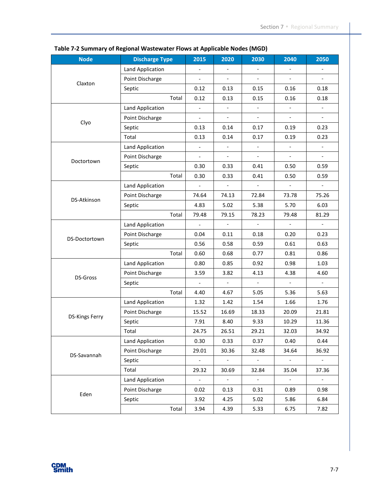| <b>Node</b>           | <b>Discharge Type</b>   | 2015                     | 2020                     | 2030                         | 2040                     | 2050                     |
|-----------------------|-------------------------|--------------------------|--------------------------|------------------------------|--------------------------|--------------------------|
| Claxton               | <b>Land Application</b> | $\overline{a}$           | $\overline{\phantom{a}}$ | $\qquad \qquad \blacksquare$ |                          | $\blacksquare$           |
|                       | Point Discharge         | $\overline{\phantom{a}}$ | $\overline{\phantom{0}}$ | $\overline{a}$               |                          | $\overline{\phantom{a}}$ |
|                       | Septic                  | 0.12                     | 0.13                     | 0.15                         | 0.16                     | 0.18                     |
|                       | Total                   | 0.12                     | 0.13                     | 0.15                         | 0.16                     | 0.18                     |
| Clyo                  | Land Application        | $\blacksquare$           |                          |                              |                          | $\blacksquare$           |
|                       | Point Discharge         | $\blacksquare$           | $\overline{\phantom{a}}$ | $\overline{\phantom{a}}$     | $\overline{\phantom{a}}$ | $\overline{\phantom{a}}$ |
|                       | Septic                  | 0.13                     | 0.14                     | 0.17                         | 0.19                     | 0.23                     |
|                       | Total                   | 0.13                     | 0.14                     | 0.17                         | 0.19                     | 0.23                     |
| Doctortown            | Land Application        | $\blacksquare$           | $\overline{\phantom{a}}$ | $\overline{\phantom{a}}$     | $\overline{\phantom{a}}$ | $\overline{\phantom{a}}$ |
|                       | Point Discharge         | $\overline{a}$           | $\blacksquare$           | $\overline{a}$               | $\blacksquare$           | $\overline{\phantom{a}}$ |
|                       | Septic                  | 0.30                     | 0.33                     | 0.41                         | 0.50                     | 0.59                     |
|                       | Total                   | 0.30                     | 0.33                     | 0.41                         | 0.50                     | 0.59                     |
|                       | <b>Land Application</b> | $\blacksquare$           | $\overline{\phantom{a}}$ | $\overline{\phantom{a}}$     | $\overline{\phantom{a}}$ | $\overline{\phantom{a}}$ |
| <b>DS-Atkinson</b>    | Point Discharge         | 74.64                    | 74.13                    | 72.84                        | 73.78                    | 75.26                    |
|                       | Septic                  | 4.83                     | 5.02                     | 5.38                         | 5.70                     | 6.03                     |
|                       | Total                   | 79.48                    | 79.15                    | 78.23                        | 79.48                    | 81.29                    |
|                       | Land Application        | $\overline{a}$           |                          | $\overline{a}$               |                          | $\overline{a}$           |
| DS-Doctortown         | Point Discharge         | 0.04                     | 0.11                     | 0.18                         | 0.20                     | 0.23                     |
|                       | Septic                  | 0.56                     | 0.58                     | 0.59                         | 0.61                     | 0.63                     |
|                       | Total                   | 0.60                     | 0.68                     | 0.77                         | 0.81                     | 0.86                     |
|                       | Land Application        | 0.80                     | 0.85                     | 0.92                         | 0.98                     | 1.03                     |
| DS-Gross              | Point Discharge         | 3.59                     | 3.82                     | 4.13                         | 4.38                     | 4.60                     |
|                       | Septic                  | $\overline{\phantom{a}}$ | $\overline{\phantom{a}}$ | $\mathcal{L}_{\mathcal{A}}$  | $\blacksquare$           | $\mathbb{L}^+$           |
|                       | Total                   | 4.40                     | 4.67                     | 5.05                         | 5.36                     | 5.63                     |
| <b>DS-Kings Ferry</b> | Land Application        | 1.32                     | 1.42                     | 1.54                         | 1.66                     | 1.76                     |
|                       | Point Discharge         | 15.52                    | 16.69                    | 18.33                        | 20.09                    | 21.81                    |
|                       | Septic                  | 7.91                     | 8.40                     | 9.33                         | 10.29                    | 11.36                    |
|                       | Total                   | 24.75                    | 26.51                    | 29.21                        | 32.03                    | 34.92                    |
| DS-Savannah           | Land Application        | 0.30                     | 0.33                     | 0.37                         | 0.40                     | 0.44                     |
|                       | Point Discharge         | 29.01                    | 30.36                    | 32.48                        | 34.64                    | 36.92                    |
|                       | Septic                  | $\overline{\phantom{a}}$ | $\overline{\phantom{a}}$ | $\overline{\phantom{a}}$     |                          | $\overline{\phantom{a}}$ |
|                       | Total                   | 29.32                    | 30.69                    | 32.84                        | 35.04                    | 37.36                    |
| Eden                  | Land Application        | $\omega_{\rm c}$         | $\pm$                    | $\pm$                        | $\blacksquare$           | $\sim$                   |
|                       | Point Discharge         | 0.02                     | 0.13                     | 0.31                         | 0.89                     | 0.98                     |
|                       | Septic                  | 3.92                     | 4.25                     | 5.02                         | 5.86                     | 6.84                     |
|                       | Total                   | 3.94                     | 4.39                     | 5.33                         | 6.75                     | 7.82                     |

#### **Table 7-2 Summary of Regional Wastewater Flows at Applicable Nodes (MGD)**

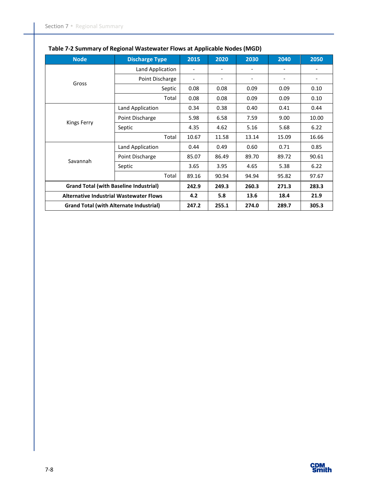| <b>Node</b>                                    | <b>Discharge Type</b>                         | 2015                     | 2020  | 2030  | 2040                     | 2050  |
|------------------------------------------------|-----------------------------------------------|--------------------------|-------|-------|--------------------------|-------|
| Gross                                          | Land Application                              |                          |       |       | $\overline{\phantom{a}}$ |       |
|                                                | Point Discharge                               | $\overline{\phantom{a}}$ |       |       |                          |       |
|                                                | Septic                                        | 0.08                     | 0.08  | 0.09  | 0.09                     | 0.10  |
|                                                | Total                                         | 0.08                     | 0.08  | 0.09  | 0.09                     | 0.10  |
| <b>Kings Ferry</b>                             | Land Application                              | 0.34                     | 0.38  | 0.40  | 0.41                     | 0.44  |
|                                                | Point Discharge                               | 5.98                     | 6.58  | 7.59  | 9.00                     | 10.00 |
|                                                | Septic                                        | 4.35                     | 4.62  | 5.16  | 5.68                     | 6.22  |
|                                                | Total                                         | 10.67                    | 11.58 | 13.14 | 15.09                    | 16.66 |
| Savannah                                       | Land Application                              | 0.44                     | 0.49  | 0.60  | 0.71                     | 0.85  |
|                                                | Point Discharge                               | 85.07                    | 86.49 | 89.70 | 89.72                    | 90.61 |
|                                                | Septic                                        | 3.65                     | 3.95  | 4.65  | 5.38                     | 6.22  |
|                                                | Total                                         | 89.16                    | 90.94 | 94.94 | 95.82                    | 97.67 |
|                                                | <b>Grand Total (with Baseline Industrial)</b> |                          | 249.3 | 260.3 | 271.3                    | 283.3 |
| <b>Alternative Industrial Wastewater Flows</b> |                                               | 4.2                      | 5.8   | 13.6  | 18.4                     | 21.9  |
| <b>Grand Total (with Alternate Industrial)</b> |                                               | 247.2                    | 255.1 | 274.0 | 289.7                    | 305.3 |

### **Table 7-2 Summary of Regional Wastewater Flows at Applicable Nodes (MGD)**

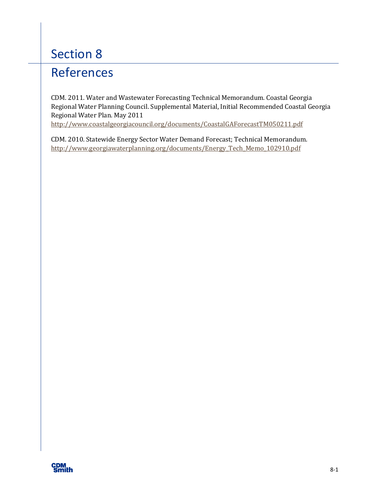## References

CDM. 2011. Water and Wastewater Forecasting Technical Memorandum. Coastal Georgia Regional Water Planning Council. Supplemental Material, Initial Recommended Coastal Georgia Regional Water Plan. May 2011

<http://www.coastalgeorgiacouncil.org/documents/CoastalGAForecastTM050211.pdf>

CDM. 2010. Statewide Energy Sector Water Demand Forecast; Technical Memorandum. [http://www.georgiawaterplanning.org/documents/Energy\\_Tech\\_Memo\\_102910.pdf](http://www.georgiawaterplanning.org/documents/Energy_Tech_Memo_102910.pdf)